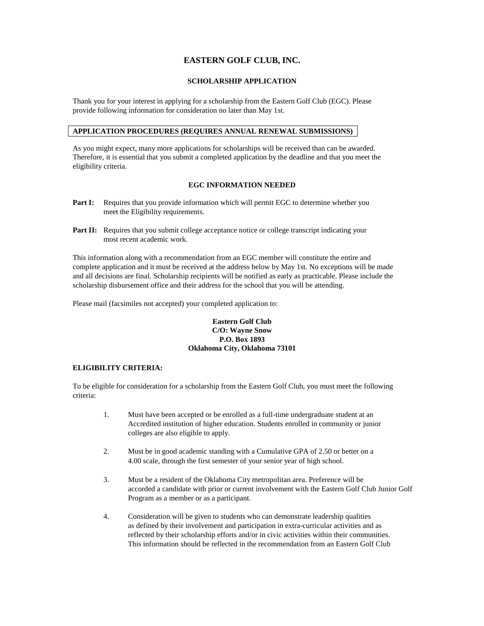## **EASTERN GOLF CLUB, INC.**

#### **SCHOLARSHIP APPLICATION**

Thank you for your interest in applying for a scholarship from the Eastern Golf Club (EGC). Please provide following information for consideration no later than May 1st.

## **APPLICATION PROCEDURES (REQUIRES ANNUAL RENEWAL SUBMISSIONS)**

As you might expect, many more applications for scholarships will be received than can be awarded. Therefore, it is essential that you submit a completed application by the deadline and that you meet the eligibility criteria.

#### **EGC INFORMATION NEEDED**

- **Part I:** Requires that you provide information which will permit EGC to determine whether you meet the Eligibility requirements.
- Part II: Requires that you submit college acceptance notice or college transcript indicating your most recent academic work.

This information along with a recommendation from an EGC member will constitute the entire and complete application and it must be received at the address below by May 1st. No exceptions will be made and all decisions are final. Scholarship recipients will be notified as early as practicable. Please include the scholarship disbursement office and their address for the school that you will be attending.

Please mail (facsimiles not accepted) your completed application to:

### **Eastern Golf Club C/O: Wayne Snow P.O. Box 1893 Oklahoma City, Oklahoma 73101**

#### **ELIGIBILITY CRITERIA:**

To be eligible for consideration for a scholarship from the Eastern Golf Club, you must meet the following criteria:

- 1. Must have been accepted or be enrolled as a full-time undergraduate student at an Accredited institution of higher education. Students enrolled in community or junior colleges are also eligible to apply.
- 2. Must be in good academic standing with a Cumulative GPA of 2.50 or better on a 4.00 scale, through the first semester of your senior year of high school.
- 3. Must be a resident of the Oklahoma City metropolitan area. Preference will be accorded a candidate with prior or current involvement with the Eastern Golf Club Junior Golf Program as a member or as a participant.
- 4. Consideration will be given to students who can demonstrate leadership qualities as defined by their involvement and participation in extra-curricular activities and as reflected by their scholarship efforts and/or in civic activities within their communities. This information should be reflected in the recommendation from an Eastern Golf Club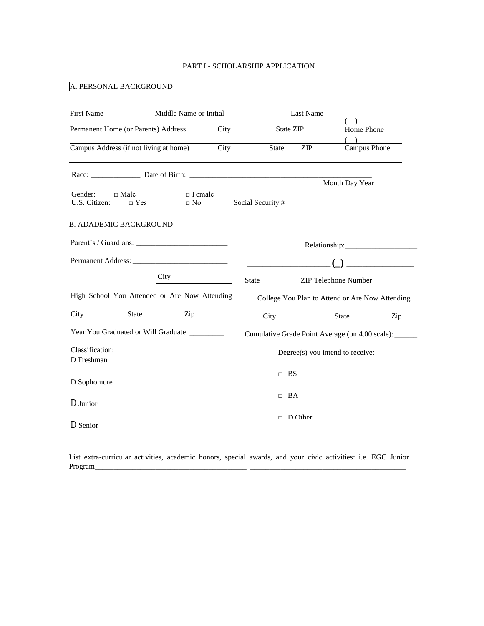## PART I - SCHOLARSHIP APPLICATION

# A. PERSONAL BACKGROUND

| <b>First Name</b>                       | Middle Name or Initial                         |      |                  | Last Name |                                                      |  |
|-----------------------------------------|------------------------------------------------|------|------------------|-----------|------------------------------------------------------|--|
| Permanent Home (or Parents) Address     |                                                | City | State ZIP        |           | Home Phone                                           |  |
| Campus Address (if not living at home)  |                                                | City | <b>State</b>     | ZIP       | Campus Phone                                         |  |
|                                         |                                                |      |                  |           | Month Day Year                                       |  |
| Gender:<br>$\Box$ Male<br>U.S. Citizen: | $\Box$ Female<br>$\Box$ No<br>$\Box$ Yes       |      | Social Security# |           |                                                      |  |
| <b>B. ADADEMIC BACKGROUND</b>           |                                                |      |                  |           |                                                      |  |
|                                         |                                                |      |                  |           |                                                      |  |
|                                         |                                                |      |                  |           |                                                      |  |
|                                         | City                                           |      | <b>State</b>     |           | <b>ZIP Telephone Number</b>                          |  |
|                                         | High School You Attended or Are Now Attending  |      |                  |           | College You Plan to Attend or Are Now Attending      |  |
| City                                    | <b>State</b><br>Zip                            |      | City             |           | <b>State</b><br>Zip                                  |  |
|                                         | Year You Graduated or Will Graduate: _________ |      |                  |           | Cumulative Grade Point Average (on 4.00 scale): ____ |  |
| Classification:<br>D Freshman           |                                                |      |                  |           | Degree(s) you intend to receive:                     |  |
| D Sophomore                             | $\Box$ BS                                      |      |                  |           |                                                      |  |
| D Junior                                |                                                |      | $\Box$ BA        |           |                                                      |  |
| D Senior                                |                                                |      | $\Box$           | $D$ Other |                                                      |  |

List extra-curricular activities, academic honors, special awards, and your civic activities: i.e. EGC Junior Program\_\_\_\_\_\_\_\_\_\_\_\_\_\_\_\_\_\_\_\_\_\_\_\_\_\_\_\_\_\_\_\_\_\_\_\_\_\_\_\_ \_\_\_\_\_\_\_\_\_\_\_\_\_\_\_\_\_\_\_\_\_\_\_\_\_\_\_\_\_\_\_\_\_\_\_\_\_\_\_\_\_